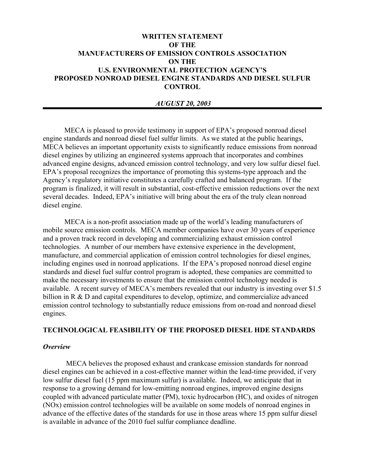# **WRITTEN STATEMENT OF THE MANUFACTURERS OF EMISSION CONTROLS ASSOCIATION ON THE U.S. ENVIRONMENTAL PROTECTION AGENCY'S PROPOSED NONROAD DIESEL ENGINE STANDARDS AND DIESEL SULFUR CONTROL**

### *AUGUST 20, 2003*

MECA is pleased to provide testimony in support of EPA's proposed nonroad diesel engine standards and nonroad diesel fuel sulfur limits. As we stated at the public hearings, MECA believes an important opportunity exists to significantly reduce emissions from nonroad diesel engines by utilizing an engineered systems approach that incorporates and combines advanced engine designs, advanced emission control technology, and very low sulfur diesel fuel. EPA's proposal recognizes the importance of promoting this systems-type approach and the Agency's regulatory initiative constitutes a carefully crafted and balanced program. If the program is finalized, it will result in substantial, cost-effective emission reductions over the next several decades. Indeed, EPA's initiative will bring about the era of the truly clean nonroad diesel engine.

MECA is a non-profit association made up of the world's leading manufacturers of mobile source emission controls. MECA member companies have over 30 years of experience and a proven track record in developing and commercializing exhaust emission control technologies. A number of our members have extensive experience in the development, manufacture, and commercial application of emission control technologies for diesel engines, including engines used in nonroad applications. If the EPA's proposed nonroad diesel engine standards and diesel fuel sulfur control program is adopted, these companies are committed to make the necessary investments to ensure that the emission control technology needed is available. A recent survey of MECA's members revealed that our industry is investing over \$1.5 billion in R & D and capital expenditures to develop, optimize, and commercialize advanced emission control technology to substantially reduce emissions from on-road and nonroad diesel engines.

## **TECHNOLOGICAL FEASIBILITY OF THE PROPOSED DIESEL HDE STANDARDS**

#### *Overview*

 MECA believes the proposed exhaust and crankcase emission standards for nonroad diesel engines can be achieved in a cost-effective manner within the lead-time provided, if very low sulfur diesel fuel (15 ppm maximum sulfur) is available. Indeed, we anticipate that in response to a growing demand for low-emitting nonroad engines, improved engine designs coupled with advanced particulate matter (PM), toxic hydrocarbon (HC), and oxides of nitrogen (NOx) emission control technologies will be available on some models of nonroad engines in advance of the effective dates of the standards for use in those areas where 15 ppm sulfur diesel is available in advance of the 2010 fuel sulfur compliance deadline.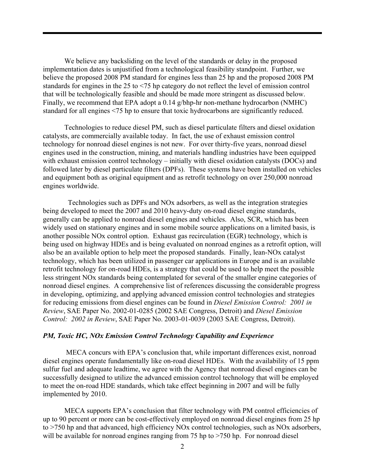We believe any backsliding on the level of the standards or delay in the proposed implementation dates is unjustified from a technological feasibility standpoint. Further, we believe the proposed 2008 PM standard for engines less than 25 hp and the proposed 2008 PM standards for engines in the 25 to <75 hp category do not reflect the level of emission control that will be technologically feasible and should be made more stringent as discussed below. Finally, we recommend that EPA adopt a 0.14 g/bhp-hr non-methane hydrocarbon (NMHC) standard for all engines <75 hp to ensure that toxic hydrocarbons are significantly reduced.

Technologies to reduce diesel PM, such as diesel particulate filters and diesel oxidation catalysts, are commercially available today. In fact, the use of exhaust emission control technology for nonroad diesel engines is not new. For over thirty-five years, nonroad diesel engines used in the construction, mining, and materials handling industries have been equipped with exhaust emission control technology – initially with diesel oxidation catalysts (DOCs) and followed later by diesel particulate filters (DPFs). These systems have been installed on vehicles and equipment both as original equipment and as retrofit technology on over 250,000 nonroad engines worldwide.

 Technologies such as DPFs and NOx adsorbers, as well as the integration strategies being developed to meet the 2007 and 2010 heavy-duty on-road diesel engine standards, generally can be applied to nonroad diesel engines and vehicles. Also, SCR, which has been widely used on stationary engines and in some mobile source applications on a limited basis, is another possible NOx control option. Exhaust gas recirculation (EGR) technology, which is being used on highway HDEs and is being evaluated on nonroad engines as a retrofit option, will also be an available option to help meet the proposed standards. Finally, lean-NOx catalyst technology, which has been utilized in passenger car applications in Europe and is an available retrofit technology for on-road HDEs, is a strategy that could be used to help meet the possible less stringent NOx standards being contemplated for several of the smaller engine categories of nonroad diesel engines. A comprehensive list of references discussing the considerable progress in developing, optimizing, and applying advanced emission control technologies and strategies for reducing emissions from diesel engines can be found in *Diesel Emission Control: 2001 in Review*, SAE Paper No. 2002-01-0285 (2002 SAE Congress, Detroit) and *Diesel Emission Control: 2002 in Review*, SAE Paper No. 2003-01-0039 (2003 SAE Congress, Detroit).

## *PM, Toxic HC, NOx Emission Control Technology Capability and Experience*

 MECA concurs with EPA's conclusion that, while important differences exist, nonroad diesel engines operate fundamentally like on-road diesel HDEs. With the availability of 15 ppm sulfur fuel and adequate leadtime, we agree with the Agency that nonroad diesel engines can be successfully designed to utilize the advanced emission control technology that will be employed to meet the on-road HDE standards, which take effect beginning in 2007 and will be fully implemented by 2010.

MECA supports EPA's conclusion that filter technology with PM control efficiencies of up to 90 percent or more can be cost-effectively employed on nonroad diesel engines from 25 hp to >750 hp and that advanced, high efficiency NOx control technologies, such as NOx adsorbers, will be available for nonroad engines ranging from 75 hp to >750 hp. For nonroad diesel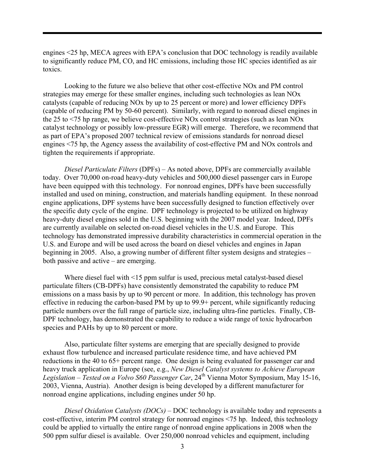engines <25 hp, MECA agrees with EPA's conclusion that DOC technology is readily available to significantly reduce PM, CO, and HC emissions, including those HC species identified as air toxics.

Looking to the future we also believe that other cost-effective NOx and PM control strategies may emerge for these smaller engines, including such technologies as lean NOx catalysts (capable of reducing NOx by up to 25 percent or more) and lower efficiency DPFs (capable of reducing PM by 50-60 percent). Similarly, with regard to nonroad diesel engines in the 25 to <75 hp range, we believe cost-effective NOx control strategies (such as lean NOx catalyst technology or possibly low-pressure EGR) will emerge. Therefore, we recommend that as part of EPA's proposed 2007 technical review of emissions standards for nonroad diesel engines <75 hp, the Agency assess the availability of cost-effective PM and NOx controls and tighten the requirements if appropriate.

*Diesel Particulate Filters* (DPFs) – As noted above, DPFs are commercially available today. Over 70,000 on-road heavy-duty vehicles and 500,000 diesel passenger cars in Europe have been equipped with this technology. For nonroad engines, DPFs have been successfully installed and used on mining, construction, and materials handling equipment. In these nonroad engine applications, DPF systems have been successfully designed to function effectively over the specific duty cycle of the engine. DPF technology is projected to be utilized on highway heavy-duty diesel engines sold in the U.S. beginning with the 2007 model year. Indeed, DPFs are currently available on selected on-road diesel vehicles in the U.S. and Europe. This technology has demonstrated impressive durability characteristics in commercial operation in the U.S. and Europe and will be used across the board on diesel vehicles and engines in Japan beginning in 2005. Also, a growing number of different filter system designs and strategies – both passive and active – are emerging.

Where diesel fuel with <15 ppm sulfur is used, precious metal catalyst-based diesel particulate filters (CB-DPFs) have consistently demonstrated the capability to reduce PM emissions on a mass basis by up to 90 percent or more. In addition, this technology has proven effective in reducing the carbon-based PM by up to 99.9+ percent, while significantly reducing particle numbers over the full range of particle size, including ultra-fine particles. Finally, CB-DPF technology, has demonstrated the capability to reduce a wide range of toxic hydrocarbon species and PAHs by up to 80 percent or more.

Also, particulate filter systems are emerging that are specially designed to provide exhaust flow turbulence and increased particulate residence time, and have achieved PM reductions in the 40 to 65+ percent range. One design is being evaluated for passenger car and heavy truck application in Europe (see, e.g., *New Diesel Catalyst systems to Achieve European*  Legislation – Tested on a Volvo S60 Passenger Car, 24<sup>th</sup> Vienna Motor Symposium, May 15-16, 2003, Vienna, Austria). Another design is being developed by a different manufacturer for nonroad engine applications, including engines under 50 hp.

*Diesel Oxidation Catalysts (DOCs)* – DOC technology is available today and represents a cost-effective, interim PM control strategy for nonroad engines <75 hp. Indeed, this technology could be applied to virtually the entire range of nonroad engine applications in 2008 when the 500 ppm sulfur diesel is available. Over 250,000 nonroad vehicles and equipment, including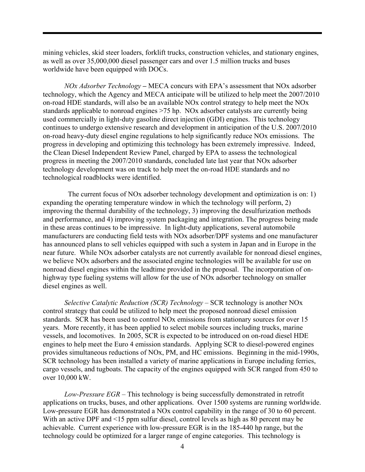mining vehicles, skid steer loaders, forklift trucks, construction vehicles, and stationary engines, as well as over 35,000,000 diesel passenger cars and over 1.5 million trucks and buses worldwide have been equipped with DOCs.

*NOx Adsorber Technology –* MECA concurs with EPA's assessment that NOx adsorber technology, which the Agency and MECA anticipate will be utilized to help meet the 2007/2010 on-road HDE standards, will also be an available NOx control strategy to help meet the NOx standards applicable to nonroad engines >75 hp. NOx adsorber catalysts are currently being used commercially in light-duty gasoline direct injection (GDI) engines. This technology continues to undergo extensive research and development in anticipation of the U.S. 2007/2010 on-road heavy-duty diesel engine regulations to help significantly reduce NOx emissions. The progress in developing and optimizing this technology has been extremely impressive. Indeed, the Clean Diesel Independent Review Panel, charged by EPA to assess the technological progress in meeting the 2007/2010 standards, concluded late last year that NOx adsorber technology development was on track to help meet the on-road HDE standards and no technological roadblocks were identified.

 The current focus of NOx adsorber technology development and optimization is on: 1) expanding the operating temperature window in which the technology will perform, 2) improving the thermal durability of the technology, 3) improving the desulfurization methods and performance, and 4) improving system packaging and integration. The progress being made in these areas continues to be impressive. In light-duty applications, several automobile manufacturers are conducting field tests with NOx adsorber/DPF systems and one manufacturer has announced plans to sell vehicles equipped with such a system in Japan and in Europe in the near future. While NOx adsorber catalysts are not currently available for nonroad diesel engines, we believe NOx adsorbers and the associated engine technologies will be available for use on nonroad diesel engines within the leadtime provided in the proposal. The incorporation of onhighway type fueling systems will allow for the use of NOx adsorber technology on smaller diesel engines as well.

*Selective Catalytic Reduction (SCR) Technology* – SCR technology is another NOx control strategy that could be utilized to help meet the proposed nonroad diesel emission standards. SCR has been used to control NOx emissions from stationary sources for over 15 years. More recently, it has been applied to select mobile sources including trucks, marine vessels, and locomotives. In 2005, SCR is expected to be introduced on on-road diesel HDE engines to help meet the Euro 4 emission standards. Applying SCR to diesel-powered engines provides simultaneous reductions of NOx, PM, and HC emissions. Beginning in the mid-1990s, SCR technology has been installed a variety of marine applications in Europe including ferries, cargo vessels, and tugboats. The capacity of the engines equipped with SCR ranged from 450 to over 10,000 kW.

*Low-Pressure EGR* – This technology is being successfully demonstrated in retrofit applications on trucks, buses, and other applications. Over 1500 systems are running worldwide. Low-pressure EGR has demonstrated a NOx control capability in the range of 30 to 60 percent. With an active DPF and <15 ppm sulfur diesel, control levels as high as 80 percent may be achievable. Current experience with low-pressure EGR is in the 185-440 hp range, but the technology could be optimized for a larger range of engine categories. This technology is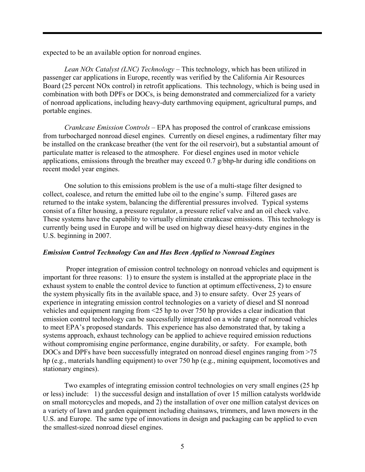expected to be an available option for nonroad engines.

*Lean NOx Catalyst (LNC) Technology* – This technology, which has been utilized in passenger car applications in Europe, recently was verified by the California Air Resources Board (25 percent NOx control) in retrofit applications. This technology, which is being used in combination with both DPFs or DOCs, is being demonstrated and commercialized for a variety of nonroad applications, including heavy-duty earthmoving equipment, agricultural pumps, and portable engines.

*Crankcase Emission Controls* – EPA has proposed the control of crankcase emissions from turbocharged nonroad diesel engines. Currently on diesel engines, a rudimentary filter may be installed on the crankcase breather (the vent for the oil reservoir), but a substantial amount of particulate matter is released to the atmosphere. For diesel engines used in motor vehicle applications, emissions through the breather may exceed 0.7 g/bhp-hr during idle conditions on recent model year engines.

One solution to this emissions problem is the use of a multi-stage filter designed to collect, coalesce, and return the emitted lube oil to the engine's sump. Filtered gases are returned to the intake system, balancing the differential pressures involved. Typical systems consist of a filter housing, a pressure regulator, a pressure relief valve and an oil check valve. These systems have the capability to virtually eliminate crankcase emissions. This technology is currently being used in Europe and will be used on highway diesel heavy-duty engines in the U.S. beginning in 2007.

### *Emission Control Technology Can and Has Been Applied to Nonroad Engines*

 Proper integration of emission control technology on nonroad vehicles and equipment is important for three reasons: 1) to ensure the system is installed at the appropriate place in the exhaust system to enable the control device to function at optimum effectiveness, 2) to ensure the system physically fits in the available space, and 3) to ensure safety. Over 25 years of experience in integrating emission control technologies on a variety of diesel and SI nonroad vehicles and equipment ranging from <25 hp to over 750 hp provides a clear indication that emission control technology can be successfully integrated on a wide range of nonroad vehicles to meet EPA's proposed standards. This experience has also demonstrated that, by taking a systems approach, exhaust technology can be applied to achieve required emission reductions without compromising engine performance, engine durability, or safety. For example, both DOCs and DPFs have been successfully integrated on nonroad diesel engines ranging from >75 hp (e.g., materials handling equipment) to over 750 hp (e.g., mining equipment, locomotives and stationary engines).

Two examples of integrating emission control technologies on very small engines (25 hp or less) include: 1) the successful design and installation of over 15 million catalysts worldwide on small motorcycles and mopeds, and 2) the installation of over one million catalyst devices on a variety of lawn and garden equipment including chainsaws, trimmers, and lawn mowers in the U.S. and Europe. The same type of innovations in design and packaging can be applied to even the smallest-sized nonroad diesel engines.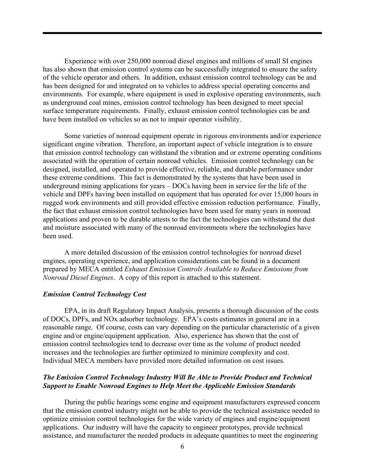Experience with over 250,000 nonroad diesel engines and millions of small SI engines has also shown that emission control systems can be successfully integrated to ensure the safety of the vehicle operator and others. In addition, exhaust emission control technology can be and has been designed for and integrated on to vehicles to address special operating concerns and environments. For example, where equipment is used in explosive operating environments, such as underground coal mines, emission control technology has been designed to meet special surface temperature requirements. Finally, exhaust emission control technologies can be and have been installed on vehicles so as not to impair operator visibility.

Some varieties of nonroad equipment operate in rigorous environments and/or experience significant engine vibration. Therefore, an important aspect of vehicle integration is to ensure that emission control technology can withstand the vibration and or extreme operating conditions associated with the operation of certain nonroad vehicles. Emission control technology can be designed, installed, and operated to provide effective, reliable, and durable performance under these extreme conditions. This fact is demonstrated by the systems that have been used in underground mining applications for years – DOCs having been in service for the life of the vehicle and DPFs having been installed on equipment that has operated for over 15,000 hours in rugged work environments and still provided effective emission reduction performance.Finally, the fact that exhaust emission control technologies have been used for many years in nonroad applications and proven to be durable attests to the fact the technologies can withstand the dust and moisture associated with many of the nonroad environments where the technologies have been used.

A more detailed discussion of the emission control technologies for nonroad diesel engines, operating experience, and application considerations can be found in a document prepared by MECA entitled *Exhaust Emission Controls Available to Reduce Emissions from Nonroad Diesel Engines*. A copy of this report is attached to this statement.

### *Emission Control Technology Cost*

EPA, in its draft Regulatory Impact Analysis, presents a thorough discussion of the costs of DOCs, DPFs, and NOx adsorber technology. EPA's costs estimates in general are in a reasonable range. Of course, costs can vary depending on the particular characteristic of a given engine and/or engine/equipment application. Also, experience has shown that the cost of emission control technologies tend to decrease over time as the volume of product needed increases and the technologies are further optimized to minimize complexity and cost. Individual MECA members have provided more detailed information on cost issues.

## *The Emission Control Technology Industry Will Be Able to Provide Product and Technical Support to Enable Nonroad Engines to Help Meet the Applicable Emission Standards*

During the public hearings some engine and equipment manufacturers expressed concern that the emission control industry might not be able to provide the technical assistance needed to optimize emission control technologies for the wide variety of engines and engine/equipment applications. Our industry will have the capacity to engineer prototypes, provide technical assistance, and manufacturer the needed products in adequate quantities to meet the engineering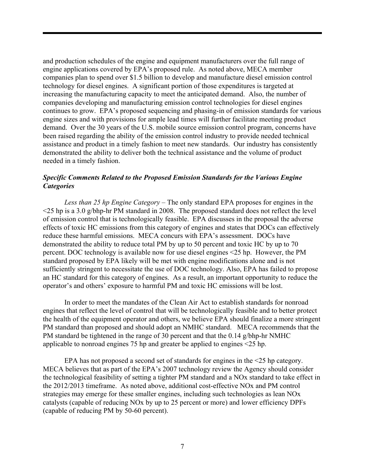and production schedules of the engine and equipment manufacturers over the full range of engine applications covered by EPA's proposed rule. As noted above, MECA member companies plan to spend over \$1.5 billion to develop and manufacture diesel emission control technology for diesel engines. A significant portion of those expenditures is targeted at increasing the manufacturing capacity to meet the anticipated demand. Also, the number of companies developing and manufacturing emission control technologies for diesel engines continues to grow. EPA's proposed sequencing and phasing-in of emission standards for various engine sizes and with provisions for ample lead times will further facilitate meeting product demand. Over the 30 years of the U.S. mobile source emission control program, concerns have been raised regarding the ability of the emission control industry to provide needed technical assistance and product in a timely fashion to meet new standards. Our industry has consistently demonstrated the ability to deliver both the technical assistance and the volume of product needed in a timely fashion.

## *Specific Comments Related to the Proposed Emission Standards for the Various Engine Categories*

*Less than 25 hp Engine Category –* The only standard EPA proposes for engines in the  $\leq$ 25 hp is a 3.0 g/bhp-hr PM standard in 2008. The proposed standard does not reflect the level of emission control that is technologically feasible. EPA discusses in the proposal the adverse effects of toxic HC emissions from this category of engines and states that DOCs can effectively reduce these harmful emissions. MECA concurs with EPA's assessment. DOCs have demonstrated the ability to reduce total PM by up to 50 percent and toxic HC by up to 70 percent. DOC technology is available now for use diesel engines <25 hp. However, the PM standard proposed by EPA likely will be met with engine modifications alone and is not sufficiently stringent to necessitate the use of DOC technology. Also, EPA has failed to propose an HC standard for this category of engines. As a result, an important opportunity to reduce the operator's and others' exposure to harmful PM and toxic HC emissions will be lost.

In order to meet the mandates of the Clean Air Act to establish standards for nonroad engines that reflect the level of control that will be technologically feasible and to better protect the health of the equipment operator and others, we believe EPA should finalize a more stringent PM standard than proposed and should adopt an NMHC standard. MECA recommends that the PM standard be tightened in the range of 30 percent and that the 0.14 g/bhp-hr NMHC applicable to nonroad engines 75 hp and greater be applied to engines <25 hp.

EPA has not proposed a second set of standards for engines in the <25 hp category. MECA believes that as part of the EPA's 2007 technology review the Agency should consider the technological feasibility of setting a tighter PM standard and a NOx standard to take effect in the 2012/2013 timeframe. As noted above, additional cost-effective NOx and PM control strategies may emerge for these smaller engines, including such technologies as lean NOx catalysts (capable of reducing NOx by up to 25 percent or more) and lower efficiency DPFs (capable of reducing PM by 50-60 percent).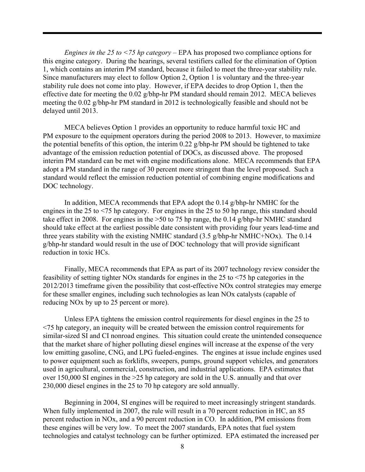*Engines in the 25 to <75 hp category* – EPA has proposed two compliance options for this engine category. During the hearings, several testifiers called for the elimination of Option 1, which contains an interim PM standard, because it failed to meet the three-year stability rule. Since manufacturers may elect to follow Option 2, Option 1 is voluntary and the three-year stability rule does not come into play. However, if EPA decides to drop Option 1, then the effective date for meeting the 0.02 g/bhp-hr PM standard should remain 2012. MECA believes meeting the 0.02 g/bhp-hr PM standard in 2012 is technologically feasible and should not be delayed until 2013.

MECA believes Option 1 provides an opportunity to reduce harmful toxic HC and PM exposure to the equipment operators during the period 2008 to 2013. However, to maximize the potential benefits of this option, the interim 0.22 g/bhp-hr PM should be tightened to take advantage of the emission reduction potential of DOCs, as discussed above. The proposed interim PM standard can be met with engine modifications alone. MECA recommends that EPA adopt a PM standard in the range of 30 percent more stringent than the level proposed. Such a standard would reflect the emission reduction potential of combining engine modifications and DOC technology.

In addition, MECA recommends that EPA adopt the 0.14 g/bhp-hr NMHC for the engines in the 25 to <75 hp category. For engines in the 25 to 50 hp range, this standard should take effect in 2008. For engines in the >50 to 75 hp range, the 0.14 g/bhp-hr NMHC standard should take effect at the earliest possible date consistent with providing four years lead-time and three years stability with the existing NMHC standard (3.5 g/bhp-hr NMHC+NOx). The 0.14 g/bhp-hr standard would result in the use of DOC technology that will provide significant reduction in toxic HCs.

Finally, MECA recommends that EPA as part of its 2007 technology review consider the feasibility of setting tighter NOx standards for engines in the 25 to <75 hp categories in the 2012/2013 timeframe given the possibility that cost-effective NOx control strategies may emerge for these smaller engines, including such technologies as lean NOx catalysts (capable of reducing NOx by up to 25 percent or more).

Unless EPA tightens the emission control requirements for diesel engines in the 25 to <75 hp category, an inequity will be created between the emission control requirements for similar-sized SI and CI nonroad engines. This situation could create the unintended consequence that the market share of higher polluting diesel engines will increase at the expense of the very low emitting gasoline, CNG, and LPG fueled-engines. The engines at issue include engines used to power equipment such as forklifts, sweepers, pumps, ground support vehicles, and generators used in agricultural, commercial, construction, and industrial applications. EPA estimates that over 150,000 SI engines in the >25 hp category are sold in the U.S. annually and that over 230,000 diesel engines in the 25 to 70 hp category are sold annually.

Beginning in 2004, SI engines will be required to meet increasingly stringent standards. When fully implemented in 2007, the rule will result in a 70 percent reduction in HC, an 85 percent reduction in NOx, and a 90 percent reduction in CO. In addition, PM emissions from these engines will be very low. To meet the 2007 standards, EPA notes that fuel system technologies and catalyst technology can be further optimized. EPA estimated the increased per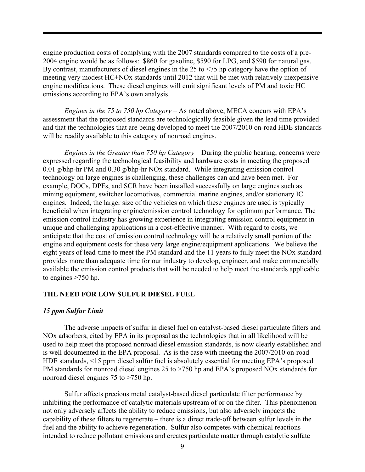engine production costs of complying with the 2007 standards compared to the costs of a pre-2004 engine would be as follows: \$860 for gasoline, \$590 for LPG, and \$590 for natural gas. By contrast, manufacturers of diesel engines in the 25 to <75 hp category have the option of meeting very modest HC+NOx standards until 2012 that will be met with relatively inexpensive engine modifications. These diesel engines will emit significant levels of PM and toxic HC emissions according to EPA's own analysis.

*Engines in the 75 to 750 hp Category* – As noted above, MECA concurs with EPA's assessment that the proposed standards are technologically feasible given the lead time provided and that the technologies that are being developed to meet the 2007/2010 on-road HDE standards will be readily available to this category of nonroad engines.

*Engines in the Greater than 750 hp Category* – During the public hearing, concerns were expressed regarding the technological feasibility and hardware costs in meeting the proposed 0.01 g/bhp-hr PM and 0.30 g/bhp-hr NOx standard. While integrating emission control technology on large engines is challenging, these challenges can and have been met. For example, DOCs, DPFs, and SCR have been installed successfully on large engines such as mining equipment, switcher locomotives, commercial marine engines, and/or stationary IC engines. Indeed, the larger size of the vehicles on which these engines are used is typically beneficial when integrating engine/emission control technology for optimum performance. The emission control industry has growing experience in integrating emission control equipment in unique and challenging applications in a cost-effective manner. With regard to costs, we anticipate that the cost of emission control technology will be a relatively small portion of the engine and equipment costs for these very large engine/equipment applications. We believe the eight years of lead-time to meet the PM standard and the 11 years to fully meet the NOx standard provides more than adequate time for our industry to develop, engineer, and make commercially available the emission control products that will be needed to help meet the standards applicable to engines >750 hp.

### **THE NEED FOR LOW SULFUR DIESEL FUEL**

### *15 ppm Sulfur Limit*

The adverse impacts of sulfur in diesel fuel on catalyst-based diesel particulate filters and NOx adsorbers, cited by EPA in its proposal as the technologies that in all likelihood will be used to help meet the proposed nonroad diesel emission standards, is now clearly established and is well documented in the EPA proposal. As is the case with meeting the 2007/2010 on-road HDE standards, <15 ppm diesel sulfur fuel is absolutely essential for meeting EPA's proposed PM standards for nonroad diesel engines 25 to  $>750$  hp and EPA's proposed NOx standards for nonroad diesel engines 75 to >750 hp.

Sulfur affects precious metal catalyst-based diesel particulate filter performance by inhibiting the performance of catalytic materials upstream of or on the filter. This phenomenon not only adversely affects the ability to reduce emissions, but also adversely impacts the capability of these filters to regenerate – there is a direct trade-off between sulfur levels in the fuel and the ability to achieve regeneration. Sulfur also competes with chemical reactions intended to reduce pollutant emissions and creates particulate matter through catalytic sulfate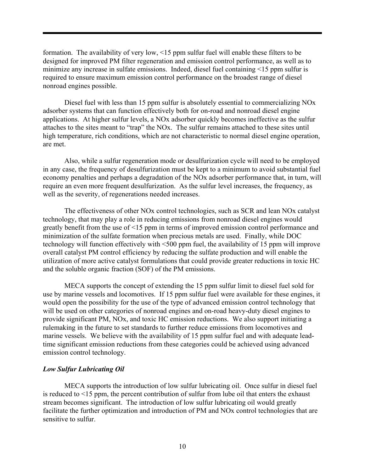formation. The availability of very low, <15 ppm sulfur fuel will enable these filters to be designed for improved PM filter regeneration and emission control performance, as well as to minimize any increase in sulfate emissions. Indeed, diesel fuel containing <15 ppm sulfur is required to ensure maximum emission control performance on the broadest range of diesel nonroad engines possible.

Diesel fuel with less than 15 ppm sulfur is absolutely essential to commercializing NOx adsorber systems that can function effectively both for on-road and nonroad diesel engine applications. At higher sulfur levels, a NOx adsorber quickly becomes ineffective as the sulfur attaches to the sites meant to "trap" the NOx. The sulfur remains attached to these sites until high temperature, rich conditions, which are not characteristic to normal diesel engine operation, are met.

Also, while a sulfur regeneration mode or desulfurization cycle will need to be employed in any case, the frequency of desulfurization must be kept to a minimum to avoid substantial fuel economy penalties and perhaps a degradation of the NOx adsorber performance that, in turn, will require an even more frequent desulfurization. As the sulfur level increases, the frequency, as well as the severity, of regenerations needed increases.

The effectiveness of other NOx control technologies, such as SCR and lean NOx catalyst technology, that may play a role in reducing emissions from nonroad diesel engines would greatly benefit from the use of <15 ppm in terms of improved emission control performance and minimization of the sulfate formation when precious metals are used. Finally, while DOC technology will function effectively with <500 ppm fuel, the availability of 15 ppm will improve overall catalyst PM control efficiency by reducing the sulfate production and will enable the utilization of more active catalyst formulations that could provide greater reductions in toxic HC and the soluble organic fraction (SOF) of the PM emissions.

MECA supports the concept of extending the 15 ppm sulfur limit to diesel fuel sold for use by marine vessels and locomotives. If 15 ppm sulfur fuel were available for these engines, it would open the possibility for the use of the type of advanced emission control technology that will be used on other categories of nonroad engines and on-road heavy-duty diesel engines to provide significant PM, NOx, and toxic HC emission reductions. We also support initiating a rulemaking in the future to set standards to further reduce emissions from locomotives and marine vessels. We believe with the availability of 15 ppm sulfur fuel and with adequate leadtime significant emission reductions from these categories could be achieved using advanced emission control technology.

### *Low Sulfur Lubricating Oil*

MECA supports the introduction of low sulfur lubricating oil. Once sulfur in diesel fuel is reduced to <15 ppm, the percent contribution of sulfur from lube oil that enters the exhaust stream becomes significant. The introduction of low sulfur lubricating oil would greatly facilitate the further optimization and introduction of PM and NOx control technologies that are sensitive to sulfur.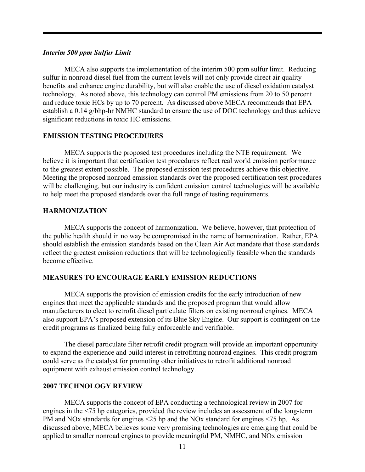### *Interim 500 ppm Sulfur Limit*

MECA also supports the implementation of the interim 500 ppm sulfur limit. Reducing sulfur in nonroad diesel fuel from the current levels will not only provide direct air quality benefits and enhance engine durability, but will also enable the use of diesel oxidation catalyst technology. As noted above, this technology can control PM emissions from 20 to 50 percent and reduce toxic HCs by up to 70 percent. As discussed above MECA recommends that EPA establish a 0.14 g/bhp-hr NMHC standard to ensure the use of DOC technology and thus achieve significant reductions in toxic HC emissions.

### **EMISSION TESTING PROCEDURES**

 MECA supports the proposed test procedures including the NTE requirement. We believe it is important that certification test procedures reflect real world emission performance to the greatest extent possible. The proposed emission test procedures achieve this objective. Meeting the proposed nonroad emission standards over the proposed certification test procedures will be challenging, but our industry is confident emission control technologies will be available to help meet the proposed standards over the full range of testing requirements.

### **HARMONIZATION**

MECA supports the concept of harmonization. We believe, however, that protection of the public health should in no way be compromised in the name of harmonization. Rather, EPA should establish the emission standards based on the Clean Air Act mandate that those standards reflect the greatest emission reductions that will be technologically feasible when the standards become effective.

#### **MEASURES TO ENCOURAGE EARLY EMISSION REDUCTIONS**

MECA supports the provision of emission credits for the early introduction of new engines that meet the applicable standards and the proposed program that would allow manufacturers to elect to retrofit diesel particulate filters on existing nonroad engines. MECA also support EPA's proposed extension of its Blue Sky Engine. Our support is contingent on the credit programs as finalized being fully enforceable and verifiable.

The diesel particulate filter retrofit credit program will provide an important opportunity to expand the experience and build interest in retrofitting nonroad engines. This credit program could serve as the catalyst for promoting other initiatives to retrofit additional nonroad equipment with exhaust emission control technology.

#### **2007 TECHNOLOGY REVIEW**

MECA supports the concept of EPA conducting a technological review in 2007 for engines in the <75 hp categories, provided the review includes an assessment of the long-term PM and NOx standards for engines <25 hp and the NOx standard for engines <75 hp. As discussed above, MECA believes some very promising technologies are emerging that could be applied to smaller nonroad engines to provide meaningful PM, NMHC, and NOx emission